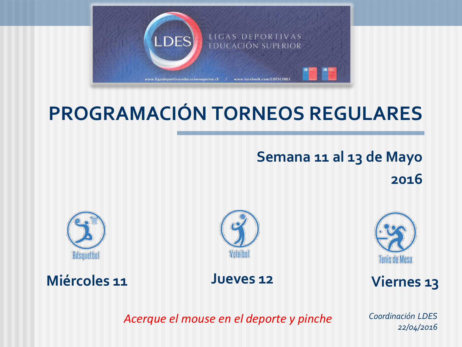

## **PROGRAMACIÓN TORNEOS REGULARES**

**Semana 11 al 13 de Mayo 2016**







**Tenis de Mesa** 

<span id="page-0-0"></span>**[Miércoles 11](#page-1-0) [Jueves 12](#page-2-0) [Viernes 13](#page-3-0)**

*Acerque el mouse en el deporte y pinche*

*Coordinación LDES 22/04/2016*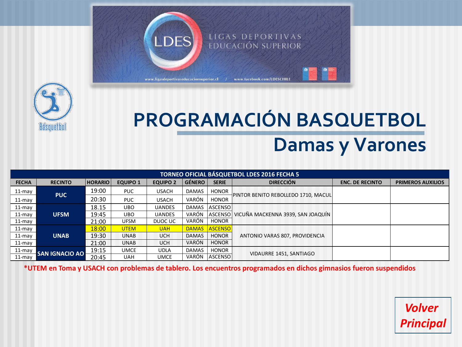



## **PROGRAMACIÓN BASQUETBOL Damas y Varones**

| TORNEO OFICIAL BÁSQUETBOL LDES 2016 FECHA 5 |                       |                |                 |                 |               |                |                                           |                        |                          |  |  |
|---------------------------------------------|-----------------------|----------------|-----------------|-----------------|---------------|----------------|-------------------------------------------|------------------------|--------------------------|--|--|
| <b>FECHA</b>                                | <b>RECINTO</b>        | <b>HORARIO</b> | <b>EQUIPO 1</b> | <b>EQUIPO 2</b> | <b>GÉNERO</b> | <b>SERIE</b>   | <b>DIRECCIÓN</b>                          | <b>ENC. DE RECINTO</b> | <b>PRIMEROS AUXILIOS</b> |  |  |
| 11-may                                      | <b>PUC</b>            | 19:00          | PUC.            | <b>USACH</b>    | <b>DAMAS</b>  | <b>HONOR</b>   | PINTOR BENITO REBOLLEDO 1710, MACUL       |                        |                          |  |  |
| $11$ -may                                   |                       | 20:30          | <b>PUC</b>      | <b>USACH</b>    | VARÓN         | <b>HONOR</b>   |                                           |                        |                          |  |  |
| 11-may                                      |                       | 18.15          | UBO.            | <b>UANDES</b>   | <b>DAMAS</b>  | <b>ASCENSO</b> | ASCENSO VICUÑA MACKENNA 3939, SAN JOAQUÍN |                        |                          |  |  |
| 11-may                                      | <b>UFSM</b>           | 19:45          | UBO.            | <b>UANDES</b>   | VARÓN         |                |                                           |                        |                          |  |  |
| 11-may                                      |                       | 21:00          | <b>UFSM</b>     | DUOC UC         | VARÓN         | <b>HONOR</b>   |                                           |                        |                          |  |  |
| 11-may                                      | <b>UNAB</b>           | 18:00          | <b>UTEM</b>     | <b>UAH</b>      | <b>DAMAS</b>  | <b>ASCENSO</b> |                                           |                        |                          |  |  |
| 11-may                                      |                       | 19:30          | <b>UNAB</b>     | <b>UCH</b>      | <b>DAMAS</b>  | <b>HONOR</b>   | ANTONIO VARAS 807, PROVIDENCIA            |                        |                          |  |  |
| $11$ -may                                   |                       | 21:00          | <b>UNAB</b>     | <b>UCH</b>      | <b>VARÓN</b>  | <b>HONOR</b>   |                                           |                        |                          |  |  |
| 11-may                                      | <b>SAN IGNACIO AO</b> | 19:15          | <b>UMCE</b>     | <b>UDLA</b>     | <b>DAMAS</b>  | <b>HONOR</b>   |                                           |                        |                          |  |  |
| $11$ -mav                                   |                       | 20:45          | <b>UAH</b>      | <b>UMCE</b>     | VARÓN         | <b>ASCENSO</b> | VIDAURRE 1451, SANTIAGO                   |                        |                          |  |  |

<span id="page-1-0"></span>**\*UTEM en Toma y USACH con problemas de tablero. Los encuentros programados en dichos gimnasios fueron suspendidos**

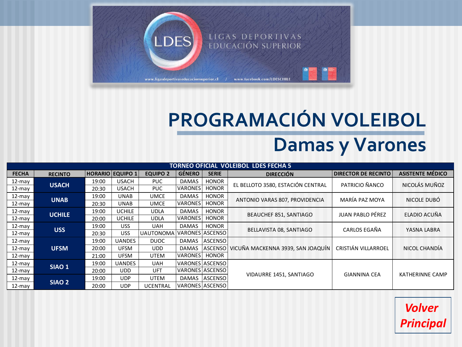

## **PROGRAMACIÓN VOLEIBOL Damas y Varones**

<span id="page-2-0"></span>

| <b>TORNEO OFICIAL VÓLEIBOL LDES FECHA 5</b> |                   |       |                         |                  |                |                 |                                   |                            |                         |  |  |
|---------------------------------------------|-------------------|-------|-------------------------|------------------|----------------|-----------------|-----------------------------------|----------------------------|-------------------------|--|--|
| <b>FECHA</b>                                | <b>RECINTO</b>    |       | <b>HORARIO EQUIPO 1</b> | <b>EQUIPO 2</b>  | <b>GÉNERO</b>  | <b>SERIE</b>    | <b>DIRECCIÓN</b>                  | <b>DIRECTOR DE RECINTO</b> | <b>ASISTENTE MÉDICO</b> |  |  |
| 12-may                                      | <b>USACH</b>      | 19:00 | <b>USACH</b>            | PUC.             | <b>DAMAS</b>   | <b>HONOR</b>    | EL BELLOTO 3580, ESTACIÓN CENTRAL | PATRICIO ÑANCO             | NICOLÁS MUÑOZ           |  |  |
| $12$ -may                                   |                   | 20:30 | <b>USACH</b>            | PUC.             | <b>VARONES</b> | <b>HONOR</b>    |                                   |                            |                         |  |  |
| 12-may                                      | <b>UNAB</b>       | 19:00 | <b>UNAB</b>             | <b>UMCE</b>      | <b>DAMAS</b>   | <b>HONOR</b>    | ANTONIO VARAS 807, PROVIDENCIA    | MARÍA PAZ MOYA             | NICOLE DUBÓ             |  |  |
| 12-may                                      |                   | 20:30 | <b>UNAB</b>             | <b>UMCE</b>      | VARONES        | <b>HONOR</b>    |                                   |                            |                         |  |  |
| 12-may                                      | <b>UCHILE</b>     | 19:00 | UCHILE                  | <b>UDLA</b>      | <b>DAMAS</b>   | <b>HONOR</b>    | <b>BEAUCHEF 851, SANTIAGO</b>     | <b>JUAN PABLO PÉREZ</b>    | ELADIO ACUÑA            |  |  |
| 12-may                                      |                   | 20:00 | <b>UCHILE</b>           | <b>UDLA</b>      | VARONES        | <b>HONOR</b>    |                                   |                            |                         |  |  |
| 12-may                                      |                   | 19:00 | <b>USS</b>              | <b>UAH</b>       | <b>DAMAS</b>   | <b>HONOR</b>    | BELLAVISTA 08, SANTIAGO           | CARLOS EGAÑA               | YASNA LABRA             |  |  |
| $12$ -may                                   | <b>USS</b>        | 20:30 | <b>USS</b>              | <b>UAUTONOMA</b> |                | VARONES ASCENSO |                                   |                            |                         |  |  |
| 12-may                                      | <b>UFSM</b>       | 19:00 | <b>UANDES</b>           | <b>DUOC</b>      | <b>DAMAS</b>   | <b>ASCENSO</b>  |                                   | CRISTIÁN VILLARROEL        | NICOL CHANDÍA           |  |  |
| $12$ -may                                   |                   | 20:00 | <b>UFSM</b>             | <b>UDD</b>       | <b>DAMAS</b>   | l ASCENSO l     | VICUÑA MACKENNA 3939, SAN JOAQUÍN |                            |                         |  |  |
| $12$ -may                                   |                   | 21:00 | <b>UFSM</b>             | <b>UTEM</b>      | VARONES        | <b>HONOR</b>    |                                   |                            |                         |  |  |
| 12-may                                      | SIAO <sub>1</sub> | 19:00 | <b>UANDES</b>           | <b>UAH</b>       |                | VARONES ASCENSO |                                   |                            | <b>KATHERINNE CAMP</b>  |  |  |
| 12-may                                      |                   | 20:00 | <b>UDD</b>              | UFT              |                | VARONES ASCENSO |                                   |                            |                         |  |  |
| 12-may                                      | SIAO <sub>2</sub> | 19:00 | <b>UDP</b>              | <b>UTEM</b>      |                | DAMAS ASCENSO   | VIDAURRE 1451, SANTIAGO           | <b>GIANNINA CEA</b>        |                         |  |  |
| $12$ -may                                   |                   | 20:00 | <b>UDP</b>              | <b>UCENTRAL</b>  |                | VARONES ASCENSO |                                   |                            |                         |  |  |

*Volver [Principal](#page-0-0)*